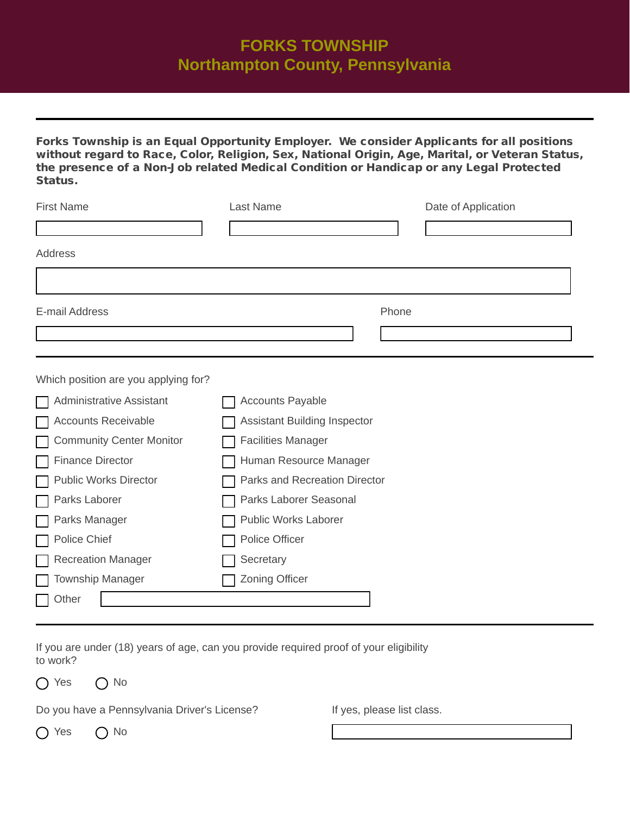## **FORKS TOWNSHIP Northampton County, Pennsylvania**

Forks Township is an Equal Opportunity Employer. We consider Applicants for all positions without regard to Race, Color, Religion, Sex, National Origin, Age, Marital, or Veteran Status, the presence of a Non-Job related Medical Condition or Handicap or any Legal Protected Status.

| <b>First Name</b> | Last Name | Date of Application |
|-------------------|-----------|---------------------|
|                   |           |                     |
| Address           |           |                     |
|                   |           |                     |
| E-mail Address    |           | Phone               |
|                   |           |                     |

Which position are you applying for?

| Administrative Assistant        | <b>Accounts Payable</b>             |
|---------------------------------|-------------------------------------|
| <b>Accounts Receivable</b>      | <b>Assistant Building Inspector</b> |
| <b>Community Center Monitor</b> | <b>Facilities Manager</b>           |
| <b>Finance Director</b>         | Human Resource Manager              |
| <b>Public Works Director</b>    | Parks and Recreation Director       |
| Parks Laborer                   | Parks Laborer Seasonal              |
| Parks Manager                   | <b>Public Works Laborer</b>         |
| Police Chief                    | <b>Police Officer</b>               |
| <b>Recreation Manager</b>       | Secretary                           |
| <b>Township Manager</b>         | <b>Zoning Officer</b>               |
| Other                           |                                     |

If you are under (18) years of age, can you provide required proof of your eligibility to work?

 $\bigcap$  Yes  $\bigcap$  No

Do you have a Pennsylvania Driver's License?

If yes, please list class.

 $\bigcap$  Yes  $\bigcap$  No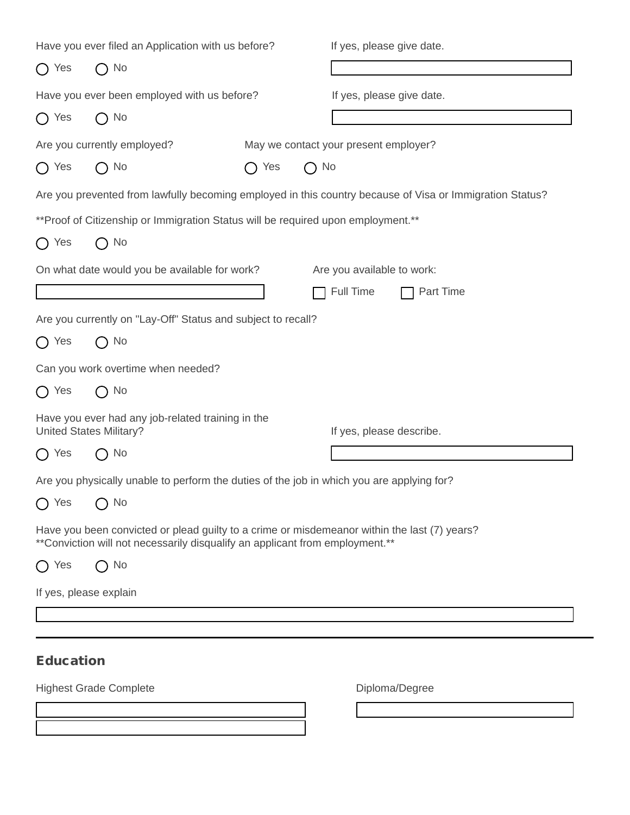| Have you ever filed an Application with us before? |                                                                                     |                            | If yes, please give date.                                                                                |  |  |
|----------------------------------------------------|-------------------------------------------------------------------------------------|----------------------------|----------------------------------------------------------------------------------------------------------|--|--|
| $\bigcap$ Yes                                      | No<br>$\left( \begin{array}{c} \end{array} \right)$                                 |                            |                                                                                                          |  |  |
| Have you ever been employed with us before?        |                                                                                     |                            | If yes, please give date.                                                                                |  |  |
| $\bigcap$ Yes                                      | No<br>( )                                                                           |                            |                                                                                                          |  |  |
|                                                    | Are you currently employed?                                                         |                            | May we contact your present employer?                                                                    |  |  |
| $\bigcap$ Yes                                      | No<br>( )                                                                           | $\bigcap$ No<br>Yes<br>( ) |                                                                                                          |  |  |
|                                                    |                                                                                     |                            | Are you prevented from lawfully becoming employed in this country because of Visa or Immigration Status? |  |  |
|                                                    | ** Proof of Citizenship or Immigration Status will be required upon employment.**   |                            |                                                                                                          |  |  |
| $\bigcap$ Yes                                      | $\bigcap$ No                                                                        |                            |                                                                                                          |  |  |
|                                                    | On what date would you be available for work?                                       |                            | Are you available to work:                                                                               |  |  |
|                                                    |                                                                                     |                            | Full Time<br>Part Time                                                                                   |  |  |
|                                                    | Are you currently on "Lay-Off" Status and subject to recall?                        |                            |                                                                                                          |  |  |
| $\bigcap$ Yes                                      | $\bigcap$ No                                                                        |                            |                                                                                                          |  |  |
|                                                    | Can you work overtime when needed?                                                  |                            |                                                                                                          |  |  |
| $\bigcap$ Yes                                      | $\bigcap$ No                                                                        |                            |                                                                                                          |  |  |
|                                                    | Have you ever had any job-related training in the<br><b>United States Military?</b> |                            | If yes, please describe.                                                                                 |  |  |
| $\bigcap$ Yes                                      | $\bigcap$ No                                                                        |                            |                                                                                                          |  |  |
|                                                    |                                                                                     |                            | Are you physically unable to perform the duties of the job in which you are applying for?                |  |  |
| $\bigcap$ Yes                                      | $\bigcap$ No                                                                        |                            |                                                                                                          |  |  |
|                                                    | ** Conviction will not necessarily disqualify an applicant from employment.**       |                            | Have you been convicted or plead guilty to a crime or misdemeanor within the last (7) years?             |  |  |
| Yes                                                | No                                                                                  |                            |                                                                                                          |  |  |
|                                                    | If yes, please explain                                                              |                            |                                                                                                          |  |  |
|                                                    |                                                                                     |                            |                                                                                                          |  |  |
|                                                    |                                                                                     |                            |                                                                                                          |  |  |
| <b>Education</b>                                   |                                                                                     |                            |                                                                                                          |  |  |
|                                                    | <b>Highest Grade Complete</b>                                                       |                            | Diploma/Degree                                                                                           |  |  |
|                                                    |                                                                                     | $\blacktriangledown$       |                                                                                                          |  |  |
|                                                    |                                                                                     |                            |                                                                                                          |  |  |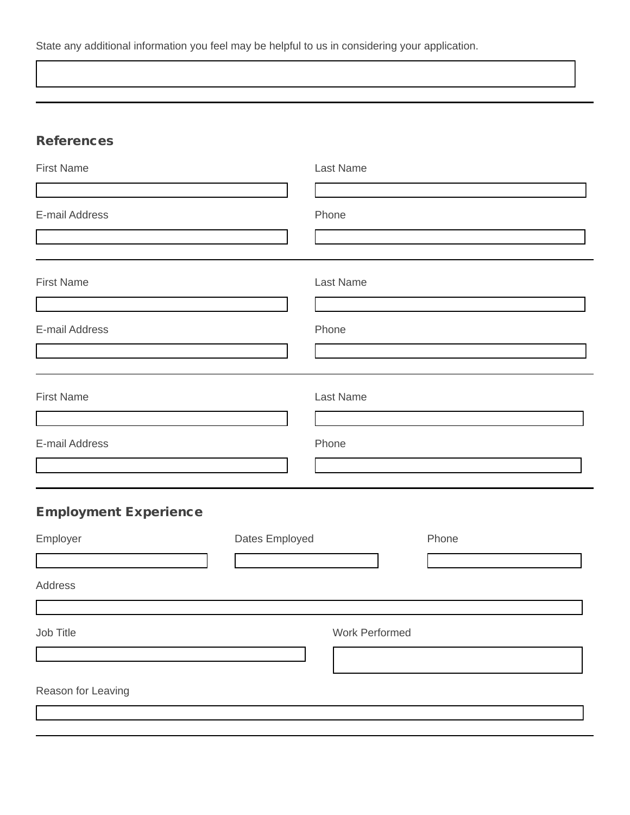State any additional information you feel may be helpful to us in considering your application.

## **References**

| <b>First Name</b>            |                | Last Name             |  |       |  |
|------------------------------|----------------|-----------------------|--|-------|--|
| E-mail Address               |                | Phone                 |  |       |  |
| <b>First Name</b>            |                | Last Name             |  |       |  |
| E-mail Address               |                | Phone                 |  |       |  |
| <b>First Name</b>            |                | Last Name             |  |       |  |
| E-mail Address               |                | Phone                 |  |       |  |
| <b>Employment Experience</b> |                |                       |  |       |  |
| Employer                     | Dates Employed |                       |  | Phone |  |
| <b>Address</b>               |                |                       |  |       |  |
| Job Title                    |                | <b>Work Performed</b> |  |       |  |
| Reason for Leaving           |                |                       |  |       |  |